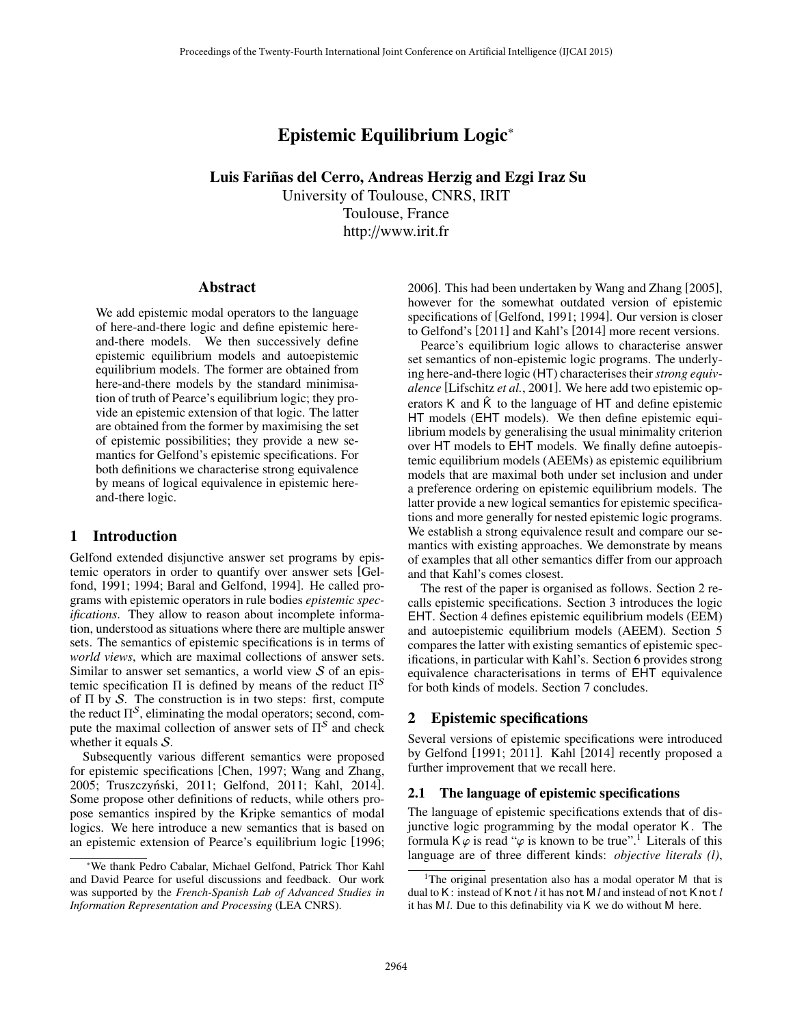# Epistemic Equilibrium Logic<sup>∗</sup>

Luis Fariñas del Cerro, Andreas Herzig and Ezgi Iraz Su University of Toulouse, CNRS, IRIT Toulouse, France http://www.irit.fr

#### Abstract

We add epistemic modal operators to the language of here-and-there logic and define epistemic hereand-there models. We then successively define epistemic equilibrium models and autoepistemic equilibrium models. The former are obtained from here-and-there models by the standard minimisation of truth of Pearce's equilibrium logic; they provide an epistemic extension of that logic. The latter are obtained from the former by maximising the set of epistemic possibilities; they provide a new semantics for Gelfond's epistemic specifications. For both definitions we characterise strong equivalence by means of logical equivalence in epistemic hereand-there logic.

#### 1 Introduction

Gelfond extended disjunctive answer set programs by epistemic operators in order to quantify over answer sets [Gelfond, 1991; 1994; Baral and Gelfond, 1994]. He called programs with epistemic operators in rule bodies *epistemic specifications*. They allow to reason about incomplete information, understood as situations where there are multiple answer sets. The semantics of epistemic specifications is in terms of *world views*, which are maximal collections of answer sets. Similar to answer set semantics, a world view  $S$  of an epistemic specification  $\Pi$  is defined by means of the reduct  $\Pi^{\mathcal{S}}$ of  $\Pi$  by S. The construction is in two steps: first, compute the reduct  $\Pi^{\mathcal{S}}$ , eliminating the modal operators; second, compute the maximal collection of answer sets of  $\Pi^S$  and check whether it equals S.

Subsequently various different semantics were proposed for epistemic specifications [Chen, 1997; Wang and Zhang, 2005; Truszczyński, 2011; Gelfond, 2011; Kahl, 2014]. Some propose other definitions of reducts, while others propose semantics inspired by the Kripke semantics of modal logics. We here introduce a new semantics that is based on an epistemic extension of Pearce's equilibrium logic [1996; 2006]. This had been undertaken by Wang and Zhang [2005], however for the somewhat outdated version of epistemic specifications of [Gelfond, 1991; 1994]. Our version is closer to Gelfond's [2011] and Kahl's [2014] more recent versions.

Pearce's equilibrium logic allows to characterise answer set semantics of non-epistemic logic programs. The underlying here-and-there logic (HT) characterises their*strong equivalence* [Lifschitz *et al.*, 2001]. We here add two epistemic operators K and  $\hat{K}$  to the language of HT and define epistemic HT models (EHT models). We then define epistemic equilibrium models by generalising the usual minimality criterion over HT models to EHT models. We finally define autoepistemic equilibrium models (AEEMs) as epistemic equilibrium models that are maximal both under set inclusion and under a preference ordering on epistemic equilibrium models. The latter provide a new logical semantics for epistemic specifications and more generally for nested epistemic logic programs. We establish a strong equivalence result and compare our semantics with existing approaches. We demonstrate by means of examples that all other semantics differ from our approach and that Kahl's comes closest.

The rest of the paper is organised as follows. Section 2 recalls epistemic specifications. Section 3 introduces the logic EHT. Section 4 defines epistemic equilibrium models (EEM) and autoepistemic equilibrium models (AEEM). Section 5 compares the latter with existing semantics of epistemic specifications, in particular with Kahl's. Section 6 provides strong equivalence characterisations in terms of EHT equivalence for both kinds of models. Section 7 concludes.

## 2 Epistemic specifications

Several versions of epistemic specifications were introduced by Gelfond [1991; 2011]. Kahl [2014] recently proposed a further improvement that we recall here.

#### 2.1 The language of epistemic specifications

The language of epistemic specifications extends that of disjunctive logic programming by the modal operator K. The formula  $K\varphi$  is read " $\varphi$  is known to be true".<sup>1</sup> Literals of this language are of three different kinds: *objective literals (l)*,

<sup>∗</sup>We thank Pedro Cabalar, Michael Gelfond, Patrick Thor Kahl and David Pearce for useful discussions and feedback. Our work was supported by the *French-Spanish Lab of Advanced Studies in Information Representation and Processing* (LEA CNRS).

<sup>&</sup>lt;sup>1</sup>The original presentation also has a modal operator M that is dual to K: instead of K not *l* it has not M *l* and instead of not K not *l* it has M *l*. Due to this definability via K we do without M here.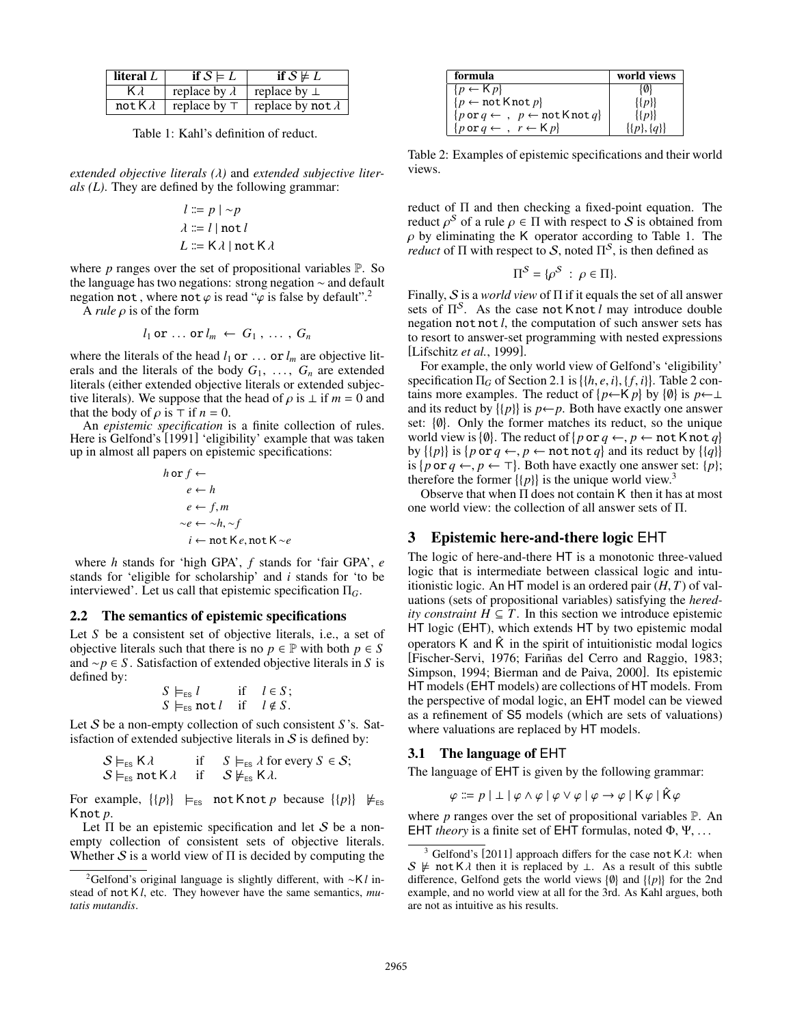| literal $L$     | if $S \models L$     | if $S \not\models L$     |
|-----------------|----------------------|--------------------------|
| K T             | replace by $\lambda$ | replace by $\perp$       |
| not K $\lambda$ | replace by $\top$    | replace by not $\lambda$ |
|                 |                      |                          |

Table 1: Kahl's definition of reduct.

*extended objective literals (*λ*)* and *extended subjective literals (L)*. They are defined by the following grammar:

$$
l ::= p | \neg p
$$
  

$$
\lambda ::= l | \text{not } l
$$
  

$$
L ::= K \lambda | \text{not } K \lambda
$$

where *p* ranges over the set of propositional variables P. So the language has two negations: strong negation ∼ and default negation not, where not  $\varphi$  is read " $\varphi$  is false by default".<sup>2</sup>

<sup>A</sup> *rule* ρ is of the form

$$
l_1
$$
 or ... or  $l_m \leftarrow G_1$ , ...,  $G_n$ 

where the literals of the head  $l_1$  or  $\ldots$  or  $l_m$  are objective literals and the literals of the body  $G_1, \ldots, G_n$  are extended literals (either extended objective literals or extended subjective literals). We suppose that the head of  $\rho$  is  $\perp$  if  $m = 0$  and that the body of  $\rho$  is  $\top$  if  $n = 0$ .

An *epistemic specification* is a finite collection of rules. Here is Gelfond's [1991] 'eligibility' example that was taken up in almost all papers on epistemic specifications:

$$
h \text{ or } f \leftarrow
$$
  
\n
$$
e \leftarrow h
$$
  
\n
$$
e \leftarrow f, m
$$
  
\n
$$
\sim e \leftarrow \sim h, \sim f
$$
  
\n
$$
i \leftarrow \text{not } K e, \text{not } K \sim e
$$

where *h* stands for 'high GPA', *f* stands for 'fair GPA', *e* stands for 'eligible for scholarship' and *i* stands for 'to be interviewed'. Let us call that epistemic specification Π*G*.

#### 2.2 The semantics of epistemic specifications

Let *S* be a consistent set of objective literals, i.e., a set of objective literals such that there is no  $p \in \mathbb{P}$  with both  $p \in S$ and ∼*p* ∈ *S* . Satisfaction of extended objective literals in *S* is defined by:

$$
S \models_{\text{ES}} l \quad \text{if} \quad l \in S;
$$
  

$$
S \models_{\text{ES}} \text{not } l \quad \text{if} \quad l \notin S.
$$

 $S \vDash_{\text{ES}} \text{not } l$  if  $l \notin S$ .<br>Let *S* be a non-empty collection of such consistent *S* 's. Satisfaction of extended subjective literals in  $S$  is defined by:

$$
S \vDash_{\text{ES}} K \lambda \quad \text{if} \quad S \vDash_{\text{ES}} \lambda \text{ for every } S \in S; S \vDash_{\text{ES}} \text{not } K \lambda \quad \text{if} \quad S \nvDash_{\text{ES}} K \lambda.
$$

For example,  $\{p\}$   $\models_{\text{ES}}$  not K not p because  $\{p\}$   $\nmodels_{\text{ES}}$ K not *p*.

Let  $\Pi$  be an epistemic specification and let S be a nonempty collection of consistent sets of objective literals. Whether  $S$  is a world view of  $\Pi$  is decided by computing the

| world views          |
|----------------------|
| {0}                  |
| $\{p\}$              |
| $\{ \{p\} \}$        |
| $\{ \{p\}, \{q\} \}$ |
|                      |

Table 2: Examples of epistemic specifications and their world views.

reduct of Π and then checking a fixed-point equation. The reduct  $\rho^S$  of a rule  $\rho \in \Pi$  with respect to S is obtained from  $\rho$  by eliminating the K operator according to Table 1. The  $\rho$  by eliminating the K operator according to Table 1. The *reduct* of  $\Pi$  with respect to S, noted  $\Pi^S$ , is then defined as

$$
\Pi^{\mathcal{S}} = \{ \rho^{\mathcal{S}} \; : \; \rho \in \Pi \}.
$$

Finally, S is a *world view* of Π if it equals the set of all answer sets of  $\Pi^S$ . As the case not K not *l* may introduce double negation not not *l*, the computation of such answer sets has to resort to answer-set programming with nested expressions [Lifschitz *et al.*, 1999].

For example, the only world view of Gelfond's 'eligibility' specification  $\Pi_G$  of Section 2.1 is  $\{\{h, e, i\}, \{f, i\}\}\$ . Table 2 contains more examples. The reduct of  $\{h \in K, n\}$  by  $\{\emptyset\}$  is  $h \in I$ . tains more examples. The reduct of  $\{p \leftarrow K p\}$  by  $\{\emptyset\}$  is  $p \leftarrow \perp$ and its reduct by  $\{\{p\}\}\$ is  $p \leftarrow p$ . Both have exactly one answer set: {0}. Only the former matches its reduct, so the unique world view is  $\{\emptyset\}$ . The reduct of  $\{p \text{ or } q \leftarrow, p \leftarrow \text{not } \text{K not } q\}$ <br>by  $\{\{n\}\}$  is  $\{p \text{ or } q \leftarrow p \leftarrow \text{not } \text{not } q\}$  and its reduct by  $\{\{a\}\}$ by  $\{p\}$  is  $\{p \text{ or } q \leftarrow, p \leftarrow \text{not not } q\}$  and its reduct by  $\{q\}$ <br>is  $\{p \text{ or } q \leftarrow p \leftarrow \top\}$  Both have exactly one answer set:  $\{p\}$ is  $\{p \text{ or } q \leftarrow, p \leftarrow \top\}$ . Both have exactly one answer set:  $\{p\}$ ;<br>therefore the former  $\{\{n\}\}$  is the unique world view <sup>3</sup> therefore the former  $\{p\}$  is the unique world view.<sup>3</sup>

Observe that when  $\Pi$  does not contain K then it has at most one world view: the collection of all answer sets of Π.

## 3 Epistemic here-and-there logic EHT

The logic of here-and-there HT is a monotonic three-valued logic that is intermediate between classical logic and intuitionistic logic. An HT model is an ordered pair (*H*, *<sup>T</sup>*) of valuations (sets of propositional variables) satisfying the *heredity constraint*  $H \subseteq T$ . In this section we introduce epistemic HT logic (EHT), which extends HT by two epistemic modal operators K and  $\hat{K}$  in the spirit of intuitionistic modal logics [Fischer-Servi, 1976; Fariñas del Cerro and Raggio, 1983; Simpson, 1994; Bierman and de Paiva, 2000]. Its epistemic HT models (EHT models) are collections of HT models. From the perspective of modal logic, an EHT model can be viewed as a refinement of S5 models (which are sets of valuations) where valuations are replaced by HT models.

#### 3.1 The language of EHT

The language of EHT is given by the following grammar:

$$
\varphi ::= p | \perp | \varphi \wedge \varphi | \varphi \vee \varphi | \varphi \rightarrow \varphi | K \varphi | \hat{K} \varphi
$$

where *p* ranges over the set of propositional variables P. An EHT *theory* is a finite set of EHT formulas, noted Φ, Ψ, . . .

<sup>2</sup>Gelfond's original language is slightly different, with ∼K *l* instead of not K *l*, etc. They however have the same semantics, *mutatis mutandis*.

Gelfond's [2011] approach differs for the case not  $K \lambda$ : when S  $\neq$  not K $\lambda$  then it is replaced by ⊥. As a result of this subtle difference, Gelfond gets the world views  $\{\emptyset\}$  and  $\{\{p\}\}\$ for the 2nd example, and no world view at all for the 3rd. As Kahl argues, both are not as intuitive as his results.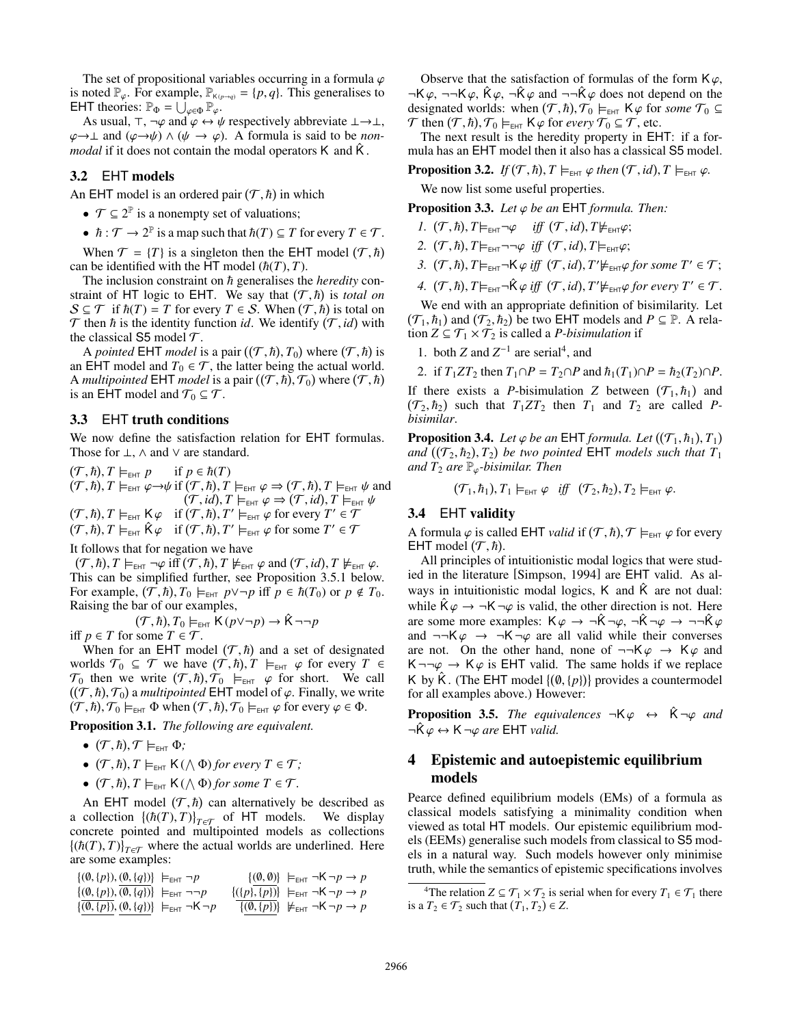The set of propositional variables occurring in a formula  $\varphi$ is noted  $\mathbb{P}_{\varphi}$ . For example,  $\mathbb{P}_{K(p\to q)} = \{p, q\}$ . This generalises to EHT theories:  $\mathbb{P}_{\Phi} = \bigcup_{\varphi \in \Phi} \mathbb{P}_{\varphi}$ .<br>As usual  $\top$   $\neg \varphi$  and  $\varphi \leftrightarrow \vartheta$ .

As usual,  $\top$ ,  $\neg \varphi$  and  $\varphi \leftrightarrow \psi$  respectively abbreviate  $\bot \rightarrow \bot$ ,  $\varphi \rightarrow \perp$  and  $(\varphi \rightarrow \psi) \land (\psi \rightarrow \varphi)$ . A formula is said to be *nonmodal* if it does not contain the modal operators K and  $\hat{K}$ .

## 3.2 EHT models

An EHT model is an ordered pair  $(T, \hbar)$  in which

- $\mathcal{T} \subseteq 2^{\mathbb{P}}$  is a nonempty set of valuations;
- $\hbar$ :  $\mathcal{T} \to 2^{\mathbb{P}}$  is a map such that  $\hbar(T) \subseteq T$  for every  $T \in \mathcal{T}$ .

When  $\mathcal{T} = \{T\}$  is a singleton then the EHT model  $(\mathcal{T}, \hbar)$ <br>n be identified with the HT model  $(\hbar(T), T)$ can be identified with the HT model  $(\hbar(T), T)$ .

The inclusion constraint on  $h$  generalises the *heredity* constraint of HT logic to EHT. We say that  $(T, \hbar)$  is *total on*  $S \subset T$  if  $\hbar(T) = T$  for every  $T \in S$ . When  $(T, \hbar)$  is total on  $S \subseteq \mathcal{T}$  if  $\hbar(T) = T$  for every  $T \in S$ . When  $(\mathcal{T}, \hbar)$  is total on  $\mathcal{T}$  then  $\hbar$  is the identity function *id*. We identify  $(\mathcal{T}, \hbar)$  with  $\mathcal T$  then  $\hbar$  is the identity function *id*. We identify  $(\mathcal T, id)$  with the classical S5 model  $\mathcal T$ the classical S5 model  $\mathcal T$ .

A *pointed* EHT *model* is a pair  $((T, \hbar), T_0)$  where  $(T, \hbar)$  is<br>FHT model and  $T_0 \in T$  the latter being the actual world an EHT model and  $T_0 \in \mathcal{T}$ , the latter being the actual world. A *multipointed* EHT *model* is a pair  $((T, \hbar), T_0)$  where  $(T, \hbar)$ <br>is an FHT model and  $T_0 \subset T$ is an EHT model and  $\mathcal{T}_0 \subseteq \mathcal{T}$ .

#### 3.3 EHT truth conditions

We now define the satisfaction relation for EHT formulas. Those for  $\perp$ ,  $\wedge$  and  $\vee$  are standard.

 $\frac{(\mathcal{T}, \hbar)}{(\mathcal{T}, \hbar)}$  $(\mathcal{T}, \hbar), T \models_{\text{EHT}} p \text{ if } p \in \hbar(T)$ <br>  $(\mathcal{T}, \hbar), T \models_{\text{EHT}} \varphi \rightarrow \psi \text{ if } (\mathcal{T}, \hbar), T \models_{\text{EHT}} \varphi \Rightarrow (\mathcal{T}, \hbar), T \models_{\text{EHT}} \psi \text{ and}$ <br>  $(\mathcal{T}, \hbar) T \models_{\text{TFT}} \varphi \Rightarrow (\mathcal{T}, \hbar) T \models_{\text{TFT}} \psi$  $(\mathcal{T}, id), T \models_{\text{EHT}} \varphi \Rightarrow (\mathcal{T}, id), T \models_{\text{EHT}} \psi$ <br>  $(\mathcal{T}, \hbar)$   $T' \models_{\text{CFT}} \varphi$  for every  $T' \in \mathcal{T}$  $(T, h), T \models_{\text{EHT}} \mathsf{K} \varphi \text{ if } (T, h), T' \models_{\text{EHT}} \varphi \text{ for every } T' \in \mathcal{T}$ <br> $(T, h), T \models \hat{\mathsf{K}} \varphi \text{ if } (T, h), T' \models \varphi \text{ for some } T' \in \mathcal{T}$  $(T, h), T \models_{\text{EHT}} \hat{\mathsf{K}} \varphi \text{ if } (T, h), T' \models_{\text{EHT}} \varphi \text{ for some } T' \in \mathcal{T}$ 

It follows that for negation we have

 $(T, \hbar), T \models_{\text{EHT}} \neg \varphi \text{ iff } (T, \hbar), T \not\models_{\text{EHT}} \varphi \text{ and } (T, id), T \not\models_{\text{EHT}} \varphi.$ <br>This can be simplified further see Proposition 3.5.1 below This can be simplified further, see Proposition 3.5.1 below. For example,  $(\mathcal{T}, \hbar)$ ,  $T_0 \models_{\text{EHT}} p \lor \neg p$  iff  $p \in \hbar(T_0)$  or  $p \notin T_0$ .<br>Raising the bar of our examples Raising the bar of our examples,

$$
(\mathcal{T}, \hbar), T_0 \models_{\text{EHT}} \mathsf{K}(p \lor \neg p) \to \hat{\mathsf{K}} \neg \neg p
$$
  
iff  $p \in T$  for some  $T \in \mathcal{T}$ .

When for an EHT model  $(\mathcal{T}, \hbar)$  and a set of designated<br>
and  $\mathcal{T}_0 \subset \mathcal{T}$  we have  $(\mathcal{T}, \hbar)$   $\mathcal{T} \models_{\text{max}} \varphi$  for every  $\mathcal{T} \in$ worlds  $\mathcal{T}_0 \subseteq \mathcal{T}$  we have  $(\mathcal{T}, \hbar), T \models_{\text{EHT}} \varphi$  for every  $T \in \mathcal{T}_0$  then we write  $(\mathcal{T}, \hbar), \mathcal{T}_0 \models_{\text{EFT}} \varphi$  for short. We call  $\mathcal{T}_0$  then we write  $(\mathcal{T}, \hbar), \mathcal{T}_0 \models_{\text{EHT}} \varphi$  for short. We call  $((\mathcal{T}, \hbar), \mathcal{T}_0)$  a multipointed FHT model of  $\varphi$ . Finally we write  $((\mathcal{T}, \hbar), \mathcal{T}_0)$  a *multipointed* EHT model of  $\varphi$ . Finally, we write  $(\mathcal{T}, \hbar)$   $\mathcal{T}_0 \models_{\text{cur}} \Phi$  when  $(\mathcal{T}, \hbar)$   $\mathcal{T}_0 \models_{\text{cur}} \varphi$  for every  $\varphi \in \Phi$  $(T, h), T_0 \vDash_{\text{EHT}} \Phi \text{ when } (T, h), T_0 \vDash_{\text{EHT}} \varphi \text{ for every } \varphi \in \Phi.$ 

Proposition 3.1. *The following are equivalent.*

- $\bullet$   $(\mathcal{T}, \hbar), \mathcal{T} \models_{\text{EHT}} \Phi;$ <br> $(\mathcal{T}, \hbar), \mathcal{T} \models_{\text{LHT}} \Phi;$
- $(T, \hbar), T \models_{\text{EHT}} K(\bigwedge \Phi)$  for every  $T \in \mathcal{T}$ ;
- $(T, \hbar)$ ,  $T \models_{\text{EHT}} K$  ( $\wedge \Phi$ ) for some  $T \in \mathcal{T}$ .

An EHT model  $(T, \hbar)$  can alternatively be described as collection  $\{(\hbar(T), T)\}_{T \to \infty}$  of HT models. We display a collection  $\{(\hbar(T), T)\}_{T \in \mathcal{T}}$  of HT models. We display concrete pointed and multipointed models as collections concrete pointed and multipointed models as collections  $\left\{(\hbar(T), T)\right\}_{T \in \mathcal{T}}$  where the actual worlds are underlined. Here are some examples: are some examples:

| $\{(\emptyset,\{p\}),(\emptyset,\{q\})\}\models_{\text{EHT}} \neg \neg p$<br>$\{(\{p\}, \{p\})\}\models_{\text{EHT}} \neg K \neg p \rightarrow p$<br>$\{(\emptyset, \{p\}), (\emptyset, \{q\})\} \models_{\text{EHT}} \neg \mathsf{K} \neg p$<br>$\{(\emptyset, \{p\})\}\not\models_{\text{EHT}} \neg K \neg p \rightarrow p$ | $\{(\emptyset, \{p\}), (\emptyset, \{q\})\} \models_{\text{EHT}} \neg p$ |  | $\{(\emptyset, \emptyset)\}\models_{\text{EHT}} \neg K \neg p \rightarrow p$ |
|-------------------------------------------------------------------------------------------------------------------------------------------------------------------------------------------------------------------------------------------------------------------------------------------------------------------------------|--------------------------------------------------------------------------|--|------------------------------------------------------------------------------|
|                                                                                                                                                                                                                                                                                                                               |                                                                          |  |                                                                              |
|                                                                                                                                                                                                                                                                                                                               |                                                                          |  |                                                                              |

Observe that the satisfaction of formulas of the form  $K\varphi$ ,  $\neg K\varphi$ ,  $\neg\neg K\varphi$ ,  $\hat{K}\varphi$ ,  $\neg \hat{K}\varphi$  and  $\neg\neg \hat{K}\varphi$  does not depend on the designated worlds: when  $(\mathcal{T}, \hbar), \mathcal{T}_0 \models_{\text{EHT}} \mathsf{K} \varphi$  for *some*  $\mathcal{T}_0 \subseteq \mathcal{T}$  then  $(\mathcal{T}, \hbar), \mathcal{T}_0 \models_{\text{EFT}} \mathsf{K} \varphi$  for *every*  $\mathcal{T}_0 \subseteq \mathcal{T}$  etc. T then  $(T, \hbar)$ ,  $T_0 \vDash_{EHT} K \varphi$  for *every*  $T_0 \subseteq T$ , etc.<br>The next result is the heredity property in FH

The next result is the heredity property in EHT: if a formula has an EHT model then it also has a classical S5 model.

**Proposition 3.2.** *If*  $(\mathcal{T}, \hbar)$ ,  $T \models_{\text{EHT}} \varphi$  *then*  $(\mathcal{T}, id)$ ,  $T \models_{\text{EHT}} \varphi$ .

We now list some useful properties.

Proposition 3.3. *Let* ϕ *be an* EHT *formula. Then:*

- *I.*  $(T, \hbar)$ ,  $T \models_{\text{EHT}} \neg \varphi$  *iff*  $(T, id)$ ,  $T \not\models_{\text{EHT}} \varphi$ ;
- 2.  $(T, \hbar)$ ,  $T \models_{\text{EHT}} \neg \neg \varphi$  *iff*  $(T, id)$ ,  $T \models_{\text{EHT}} \varphi$ ;
- 3.  $(T, \hbar)$ ,  $T \models_{\text{EHT}} \neg K \varphi \text{ iff } (T, id)$ ,  $T' \not\models_{\text{EHT}} \varphi \text{ for some } T' \in T$ ;
- $4.$   $(\mathcal{T}, \hbar)$ ,  $T \models_{\text{EHT}} \neg \hat{\mathsf{K}} \varphi$  *iff*  $(\mathcal{T}, id)$ ,  $T' \not\models_{\text{EHT}} \varphi$  for every  $T' \in \mathcal{T}$ .

We end with an appropriate definition of bisimilarity. Let  $(\mathcal{T}_1, h_1)$  and  $(\mathcal{T}_2, h_2)$  be two EHT models and  $P \subseteq \mathbb{P}$ . A relation  $Z \subseteq \mathcal{T}_1 \times \mathcal{T}_2$  is called a *P*-bisimulation if tion  $Z \subseteq \mathcal{T}_1 \times \mathcal{T}_2$  is called a *P-bisimulation* if

1. both *Z* and  $Z^{-1}$  are serial<sup>4</sup>, and

2. if  $T_1 Z T_2$  then  $T_1 \cap P = T_2 \cap P$  and  $\hbar_1(T_1) \cap P = \hbar_2(T_2) \cap P$ .

If there exists a *P*-bisimulation *Z* between  $(T_1, h_1)$  and  $(T_2, h_2)$  such that  $T_1 Z T_2$  then  $T_1$  and  $T_2$  are called *P*- $(T_2, \hbar_2)$  such that  $T_1 Z T_2$  then  $T_1$  and  $T_2$  are called *P*-<br>*hisimilar bisimilar*.

**Proposition 3.4.** *Let*  $\varphi$  *be an* EHT *formula. Let*  $((T_1, h_1), T_1)$ <br>*and*  $((T_2, h_2), T_2)$  *be two pointed* FHT *models such that*  $T_1$ and  $((T_2, h_2), T_2)$  be two pointed EHT models such that  $T_1$ <br>and  $T_2$  are  $\mathbb{P}_2$ -bisimilar Then *and*  $T_2$  *are*  $\mathbb{P}_{\varphi}$ *-bisimilar. Then* 

 $(\mathcal{T}_1, \hbar_1), T_1 \models_{\text{EHT}} \varphi \text{ iff } (\mathcal{T}_2, \hbar_2), T_2 \models_{\text{EHT}} \varphi.$ 

## 3.4 EHT validity

A formula  $\varphi$  is called EHT *valid* if  $(T, \hbar)$ ,  $T \models_{EH} \varphi$  for every FHT model  $(T, \hbar)$ EHT model  $(\mathcal{T}, \hbar)$ .<br>All principles of

All principles of intuitionistic modal logics that were studied in the literature [Simpson, 1994] are EHT valid. As always in intuitionistic modal logics,  $K$  and  $\hat{K}$  are not dual: while  $\hat{K}\varphi \rightarrow \neg K \neg \varphi$  is valid, the other direction is not. Here are some more examples:  $K\varphi \to \neg \hat{K} \neg \varphi$ ,  $\neg \hat{K} \neg \varphi \to \neg \neg \hat{K} \varphi$ and  $\neg\neg K\varphi \rightarrow \neg K\neg \varphi$  are all valid while their converses are not. On the other hand, none of  $\neg\neg K\varphi \rightarrow K\varphi$  and  $K \neg \neg \varphi \rightarrow K \varphi$  is EHT valid. The same holds if we replace K by  $\hat{K}$ . (The EHT model  $\{(0, \{p\})\}$  provides a countermodel for all examples above ) However: for all examples above.) However:

**Proposition 3.5.** *The equivalences*  $\neg K \varphi \leftrightarrow \hat{K} \neg \varphi$  *and*  $\neg K \varphi \leftrightarrow K \neg \varphi$  are EHT valid.

## 4 Epistemic and autoepistemic equilibrium models

Pearce defined equilibrium models (EMs) of a formula as classical models satisfying a minimality condition when viewed as total HT models. Our epistemic equilibrium models (EEMs) generalise such models from classical to S5 models in a natural way. Such models however only minimise truth, while the semantics of epistemic specifications involves

<sup>&</sup>lt;sup>4</sup>The relation  $Z \subseteq \mathcal{T}_1 \times \mathcal{T}_2$  is serial when for every  $T_1 \in \mathcal{T}_1$  there is a  $T_2 \in \mathcal{T}_2$  such that  $(T_1, T_2) \in Z$ .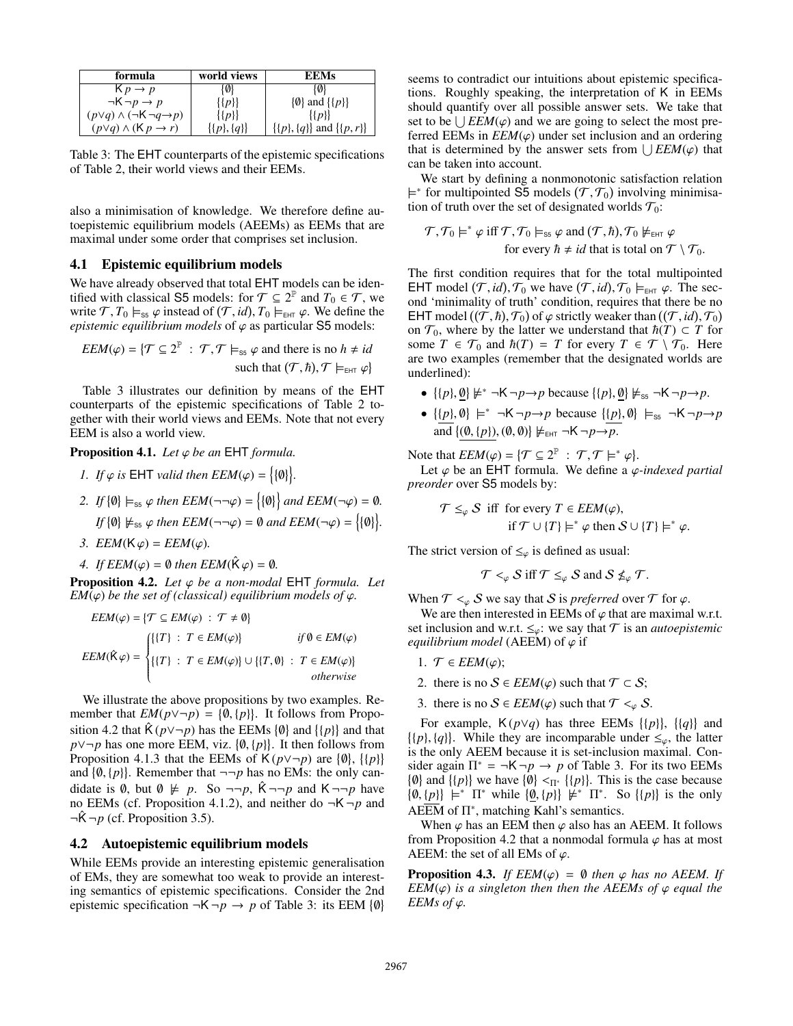| formula                                      | world views          | <b>EEMs</b>                      |
|----------------------------------------------|----------------------|----------------------------------|
| $K p \rightarrow p$                          | {Ø}                  | {0}                              |
| $\neg K \neg p \rightarrow p$                | $\{p\}$              | $\{\emptyset\}$ and $\{\{p\}\}\$ |
| $(p\vee q)\wedge(\neg K\neg q\rightarrow p)$ | $\{ \{p\} \}$        | $\{ \{p\} \}$                    |
| $(p\vee q)\wedge$ (K $p\rightarrow r$ )      | $\{ \{p\}, \{q\} \}$ | $\{(p\},\{q\})$ and $\{(p,r)\}\$ |
|                                              |                      |                                  |

Table 3: The EHT counterparts of the epistemic specifications of Table 2, their world views and their EEMs.

also a minimisation of knowledge. We therefore define autoepistemic equilibrium models (AEEMs) as EEMs that are maximal under some order that comprises set inclusion.

#### 4.1 Epistemic equilibrium models

We have already observed that total EHT models can be identified with classical S5 models: for  $\mathcal{T} \subseteq 2^{\mathbb{P}}$  and  $T_0 \in \mathcal{T}$ , we write  $\mathcal{T}, T_0 \models_{\text{ss}} \varphi$  instead of  $(\mathcal{T}, id), T_0 \models_{\text{EHT}} \varphi$ . We define the *enistemic equilibrium models* of  $\varphi$  as particular S5 models *epistemic equilibrium models* of  $\varphi$  as particular S5 models:

$$
EEM(\varphi) = \{ \mathcal{T} \subseteq 2^{\mathbb{P}} : \mathcal{T}, \mathcal{T} \models_{\text{ss}} \varphi \text{ and there is no } h \neq id \text{ such that } (\mathcal{T}, \hbar), \mathcal{T} \models_{\text{EHT}} \varphi \}
$$

Table 3 illustrates our definition by means of the EHT counterparts of the epistemic specifications of Table 2 together with their world views and EEMs. Note that not every EEM is also a world view.

**Proposition 4.1.** *Let*  $\varphi$  *be an* EHT *formula.* 

*1. If*  $\varphi$  *is* EHT *valid then*  $EEM(\varphi) = \{ \emptyset \}$ .

2. If 
$$
\{0\}
$$
  $\models_{ss} \varphi$  then  $EEM(\neg\neg\varphi) = \{\{0\}\}\$  and  $EEM(\neg\varphi) = 0$ .  
If  $\{0\} \not\models_{ss} \varphi$  then  $EEM(\neg\neg\varphi) = 0$  and  $EEM(\neg\varphi) = \{\{0\}\}.$ 

- *3. EEM*( $K \varphi$ ) = *EEM*( $\varphi$ )*.*
- *4. If*  $EEM(\varphi) = \emptyset$  *then*  $EEM(\hat{K}\varphi) = \emptyset$ *.*

Proposition 4.2. *Let* ϕ *be a non-modal* EHT *formula. Let EM*( $\varphi$ ) *be the set of (classical) equilibrium models of*  $\varphi$ *.* 

$$
EEM(\varphi) = \{T \subseteq EM(\varphi) : T \neq \emptyset\}
$$
  
\n
$$
EEM(\hat{K}\varphi) = \begin{cases} \{\{T\} : T \in EM(\varphi)\} & \text{if } \emptyset \in EM(\varphi) \\\\ \{\{T\} : T \in EM(\varphi)\} \cup \{\{T, \emptyset\} : T \in EM(\varphi)\} & \text{otherwise} \end{cases}
$$

We illustrate the above propositions by two examples. Remember that  $EM(p \vee \neg p) = \{\emptyset, \{p\}\}\$ . It follows from Propo-<br>sition 4.2 that  $\hat{\mathcal{K}}(p \vee \neg p)$  has the FEMs  $\{\emptyset\}$  and  $\{\{p\}\}$  and that sition 4.2 that  $\hat{K}(p \vee \neg p)$  has the EEMs  $\{\emptyset\}$  and  $\{\{p\}\}\$ and that *p*∨¬*p* has one more EEM, viz.  $\{\emptyset, \{p\}\}\$ . It then follows from **Proposition 4.1.3** that the EEMs of K(*p*∨¬*p*) are  $\{\emptyset\}$   $\{\{p\}\}\$ Proposition 4.1.3 that the EEMs of  $K(p \vee \neg p)$  are  $\{\emptyset\}$ ,  $\{\{p\}\}\$ and  $\{\emptyset, \{p\}\}\$ . Remember that  $\neg\neg p$  has no EMs: the only can-<br>didate is  $\emptyset$ , but  $\emptyset$ ,  $\nvdash p$ , So  $\neg\neg p$ ,  $\hat{K}$   $\neg\neg p$  and  $K$   $\neg\neg p$  have didate is 0, but  $\emptyset \not\models p$ . So  $\neg\neg p$ ,  $\hat{K} \neg\neg p$  and  $K \neg\neg p$  have no EEMs (cf. Proposition 4.1.2), and neither do  $\neg K \neg p$  and  $\neg \hat{K} \neg p$  (cf. Proposition 3.5).

#### 4.2 Autoepistemic equilibrium models

While EEMs provide an interesting epistemic generalisation of EMs, they are somewhat too weak to provide an interesting semantics of epistemic specifications. Consider the 2nd epistemic specification  $\neg K \neg p \rightarrow p$  of Table 3: its EEM  $\{\emptyset\}$ 

seems to contradict our intuitions about epistemic specifications. Roughly speaking, the interpretation of K in EEMs should quantify over all possible answer sets. We take that set to be  $\bigcup EEM(\varphi)$  and we are going to select the most pre-<br>ferred EEMs in *EEM*( $\varphi$ ) under set inclusion and an ordering ferred EEMs in  $EEM(\varphi)$  under set inclusion and an ordering that is determined by the answer sets from  $\bigcup EEM(\varphi)$  that can be taken into account can be taken into account.

We start by defining a nonmonotonic satisfaction relation  $\models^*$  for multipointed S5 models ( $\mathcal{T}, \mathcal{T}_0$ ) involving minimisation of truth over the set of designated worlds  $\mathcal{T}_0$ . tion of truth over the set of designated worlds  $\mathcal{T}_0$ :

$$
\mathcal{T}, \mathcal{T}_0 \models^* \varphi \text{ iff } \mathcal{T}, \mathcal{T}_0 \models_{\text{ss}} \varphi \text{ and } (\mathcal{T}, \hbar), \mathcal{T}_0 \not\models_{\text{EHT}} \varphi
$$
  
for every  $\hbar \neq id$  that is total on  $\mathcal{T} \setminus \mathcal{T}_0$ .

The first condition requires that for the total multipointed EHT model  $(\mathcal{T}, id)$ ,  $\mathcal{T}_0$  we have  $(\mathcal{T}, id)$ ,  $\mathcal{T}_0 \models_{\text{EHT}} \varphi$ . The sec-<br>ond 'minimality of truth' condition requires that there be no ond 'minimality of truth' condition, requires that there be no EHT model  $((\tilde{\mathcal{T}}, h), \mathcal{T}_0)$  of  $\varphi$  strictly weaker than  $((\mathcal{T}, id), \mathcal{T}_0)$ <br>on  $\mathcal{T}_0$  where by the latter we understand that  $h(\mathcal{T}) \subset \mathcal{T}$  for on  $\mathcal{T}_0$ , where by the latter we understand that  $\hbar(T) \subset T$  for some  $T \in \mathcal{T}_0$  and  $\hbar(T) = T$  for every  $T \in \mathcal{T} \setminus \mathcal{T}_0$ . Here are two examples (remember that the designated worlds are underlined):

- $\{p\}, \underline{\emptyset}\} \neq^* \neg \mathsf{K} \neg p \rightarrow p$  because  $\{p\}, \underline{\emptyset}\} \neq_{ss} \neg \mathsf{K} \neg p \rightarrow p$ .
- $\{p\}, \emptyset\} \models^* \neg \mathsf{K} \neg p \rightarrow p$  because  $\{\{p\}, \emptyset\} \models_{\mathsf{ss}} \neg \mathsf{K} \neg p \rightarrow p$ and  $\{(\underline{0}, \{p\}), (\emptyset, \emptyset)\}\not\models_{\text{EHT}} \neg \mathsf{K} \neg p \rightarrow p.$

Note that  $EEM(\varphi) = \{ \mathcal{T} \subseteq 2^{\mathbb{P}} : \mathcal{T}, \mathcal{T} \models^* \varphi \}.$ <br>Let  $\varphi$  be an **FHT** formula We define a  $\varphi$ 

Let  $\varphi$  be an EHT formula. We define a  $\varphi$ -indexed partial<br>earder over S5 models by: *preorder* over S5 models by:

$$
\mathcal{T} \leq_{\varphi} \mathcal{S} \text{ iff for every } T \in EEM(\varphi),
$$
  
if  $\mathcal{T} \cup \{T\} \models^* \varphi \text{ then } \mathcal{S} \cup \{T\} \models^* \varphi.$ 

The strict version of  $\leq_{\varphi}$  is defined as usual:

 $\mathcal{T} <_{\varphi} S$  iff  $\mathcal{T} \leq_{\varphi} S$  and  $S \nleq_{\varphi} \mathcal{T}$ .

When  $T \leq_{\varphi} S$  we say that S is *preferred* over T for  $\varphi$ .

We are then interested in EEMs of  $\varphi$  that are maximal w.r.t. set inclusion and w.r.t.  $\leq_{\varphi}$ : we say that  $\mathcal T$  is an *autoepistemic equilibrium model* (AEEM) of  $\varphi$  if

- 1.  $\mathcal{T} \in EEM(\varphi);$
- 2. there is no  $S \in EEM(\varphi)$  such that  $\mathcal{T} \subset S$ ;
- 3. there is no  $S \in EEM(\varphi)$  such that  $\mathcal{T} \leq_{\varphi} S$ .

For example,  $K(p \lor q)$  has three EEMs  $\{\{p\}\}\$ ,  $\{\{q\}\}\$  and  $\{(p), \{q\}\}\$ . While they are incomparable under  $\leq_{\varphi}$ , the latter is the only AEEM because it is set-inclusion maximal. Conis the only AEEM because it is set-inclusion maximal. Consider again  $\Pi^* = \neg K \neg p \rightarrow p$  of Table 3. For its two EEMs  $\{\emptyset\}$  and  $\{\{p\}\}\$  we have  $\{\emptyset\} <_{\Pi^*} \{\{p\}\}\$ . This is the case because {*v*} and {{*p*}} we have {*v*}  $\langle \nabla \rangle$  {{*p*}}. I his is the case because { $\emptyset$ , {*p*}}  $\models^* \Pi^*$  while { $\emptyset$ , {*p*}}  $\models^* \Pi^*$ . So {{*p*}} is the only  $AEE\overline{M}$  of  $\Pi^*$ , matching Kahl's semantics.

When  $\varphi$  has an EEM then  $\varphi$  also has an AEEM. It follows from Proposition 4.2 that a nonmodal formula  $\varphi$  has at most AEEM: the set of all EMs of  $\varphi$ .

**Proposition 4.3.** *If EEM*( $\varphi$ ) =  $\theta$  *then*  $\varphi$  *has no AEEM. If EEM*( $\varphi$ ) *is a singleton then then the AEEMs of*  $\varphi$  *equal the EEMs of*  $\varphi$ *.*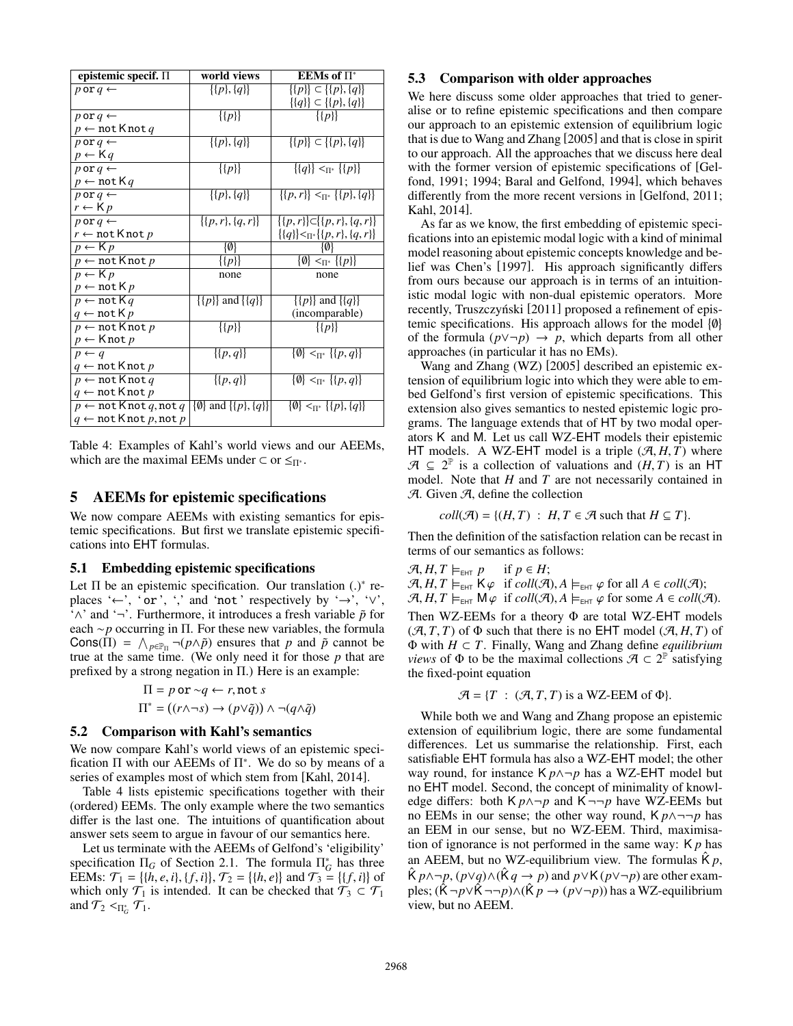| epistemic specif. ∏                                                                                                            | world views                     | EEMs of $\Pi^*$                               |
|--------------------------------------------------------------------------------------------------------------------------------|---------------------------------|-----------------------------------------------|
| $p$ or $q \leftarrow$                                                                                                          | $\{ \{p\}, \{q\} \}$            | $\{\{p\}\}\subset \{\{p\},\{q\}\}\$           |
|                                                                                                                                |                                 | $\{\{q\}\}\subset \{\{p\},\{q\}\}\$           |
| $p$ or $q \leftarrow$                                                                                                          | $\{p\}$                         | $\{p\}$                                       |
| $p \leftarrow \texttt{not}$ K not $q$                                                                                          |                                 |                                               |
| $p$ or $q \leftarrow$                                                                                                          | $\{ \{p\}, \{q\} \}$            | $\{\{p\}\}\subset \{\{p\},\{q\}\}\$           |
| $p \leftarrow$ Kq                                                                                                              |                                 |                                               |
| $p$ or $q \leftarrow$                                                                                                          | $\{ \{p\} \}$                   | $\{\{q\}\}\leq_{\Pi^*}\{\{p\}\}\$             |
| $p \leftarrow \text{not } K q$                                                                                                 |                                 |                                               |
| $p$ or $q \leftarrow$                                                                                                          | $\{ \{p\}, \{q\} \}$            | $\{(p,r)\}\leq_{\Pi^*}\{(p\},\{q\}\}\$        |
| $r \leftarrow$ K $p$                                                                                                           |                                 |                                               |
| $p$ or $q \leftarrow$                                                                                                          | $\{ \{p,r\}, \{q,r\} \}$        | $\{\{p,r\}\}\subset \{\{p,r\},\{q,r\}\}\$     |
| $r \leftarrow \texttt{not}$ K not $p$                                                                                          |                                 | $\{\{q\}\}<_{\Pi^*}\{\{p,r\},\{q,r\}\}\$      |
| $p \leftarrow$ K $p$                                                                                                           | $\{\emptyset\}$                 | 101                                           |
| $p \leftarrow \texttt{not}$ K not $p$                                                                                          | $\overline{\{p\}}$              | $\{\emptyset\} \Pi^*$ $\{\{p\}\}\$            |
| $p \leftarrow$ K $p$                                                                                                           | none                            | none                                          |
| $p \leftarrow \text{not } K p$                                                                                                 |                                 |                                               |
| $p \leftarrow \texttt{not} \, Kq$                                                                                              | $\{ \{p\} \}$ and $\{ \{q\} \}$ | $\{\{p\}\}\$ and $\{\{q\}\}\$                 |
| $q \leftarrow \texttt{not} \, \mathsf{K} \, p$                                                                                 |                                 | (incomparable)                                |
| $p \leftarrow \text{not K}$ not $p$                                                                                            | $\{p\}$                         | $\{p\}$                                       |
| $p \leftarrow$ Knot p                                                                                                          |                                 |                                               |
| $p \leftarrow q$                                                                                                               | $\{ \{p,q\} \}$                 | $\{\emptyset\} \leq_{\Pi^*} \{\{p,q\}\}\$     |
| $q \leftarrow \texttt{not}$ K not $p$                                                                                          |                                 |                                               |
| $p \leftarrow \texttt{not}$ K not $q$                                                                                          | $\{ \{p,q\} \}$                 | $\{\emptyset\} \leq_{\Pi^*} \{\{p,q\}\}\$     |
| $q \leftarrow \text{not Knot } p$                                                                                              |                                 |                                               |
| $p \leftarrow \texttt{not} \, \texttt{Knot} \, q, \texttt{not} \, q \,   \{\emptyset\} \, \texttt{and} \, \{\{p\}, \{q\}\}\}\$ |                                 | $\{\emptyset\} \leq_{\Pi^*} \{\{p\},\{q\}\}\$ |
| $q \leftarrow \text{not K}$ not $p, \text{not } p$                                                                             |                                 |                                               |
|                                                                                                                                |                                 |                                               |

Table 4: Examples of Kahl's world views and our AEEMs, which are the maximal EEMs under  $\subset$  or  $\leq_{\Pi^*}$ .

## 5 AEEMs for epistemic specifications

We now compare AEEMs with existing semantics for epistemic specifications. But first we translate epistemic specifications into EHT formulas.

#### 5.1 Embedding epistemic specifications

Let  $\Pi$  be an epistemic specification. Our translation (.)\* re-<br>places ' $\leftarrow$ ' 'or' '' and 'not' respectively by ' $\rightarrow$ ' ' $\vee$ ' places '←', 'or', ',' and 'not' respectively by '→', ' $\vee$ ', '∧' and '¬'. Furthermore, it introduces a fresh variable ˜*p* for each ∼*p* occurring in Π. For these new variables, the formula Cons( $\Pi$ ) =  $\bigwedge_{p \in \mathbb{P}_{\Pi}} \neg (p \land \tilde{p})$  ensures that *p* and  $\tilde{p}$  cannot be true at the same time. (We only need it for those *p* that are prefixed by a strong negation in  $\Pi$ .) Here is an example:

$$
\Pi = p \text{ or } \neg q \leftarrow r, \text{not } s
$$

$$
\Pi^* = ((r \land \neg s) \rightarrow (p \lor \tilde{q})) \land \neg (q \land \tilde{q})
$$

#### 5.2 Comparison with Kahl's semantics

We now compare Kahl's world views of an epistemic specification  $\Pi$  with our AEEMs of  $\Pi^*$ . We do so by means of a series of examples most of which stem from [Kahl, 2014].

Table 4 lists epistemic specifications together with their (ordered) EEMs. The only example where the two semantics differ is the last one. The intuitions of quantification about answer sets seem to argue in favour of our semantics here.

Let us terminate with the AEEMs of Gelfond's 'eligibility' specification  $\Pi_G$  of Section 2.1. The formula  $\Pi_G^*$  has three EEMs:  $\mathcal{T}_1 = \{ \{h, e, i\}, \{f, i\} \}, \mathcal{T}_2 = \{ \{h, e\} \}$  and  $\mathcal{T}_3 = \{ \{f, i\} \}$  of which only  $\mathcal{T}_1$  is intended. It can be checked that  $\mathcal{T}_2 \subset \mathcal{T}_1$ which only  $\mathcal{T}_1$  is intended. It can be checked that  $\mathcal{T}_3 \subset \mathcal{T}_1$ and  $\mathcal{T}_2 <_{\Pi_G^*} \mathcal{T}_1$ .

#### 5.3 Comparison with older approaches

We here discuss some older approaches that tried to generalise or to refine epistemic specifications and then compare our approach to an epistemic extension of equilibrium logic that is due to Wang and Zhang [2005] and that is close in spirit to our approach. All the approaches that we discuss here deal with the former version of epistemic specifications of [Gelfond, 1991; 1994; Baral and Gelfond, 1994], which behaves differently from the more recent versions in [Gelfond, 2011; Kahl, 2014].

As far as we know, the first embedding of epistemic specifications into an epistemic modal logic with a kind of minimal model reasoning about epistemic concepts knowledge and belief was Chen's [1997]. His approach significantly differs from ours because our approach is in terms of an intuitionistic modal logic with non-dual epistemic operators. More recently, Truszczyński [2011] proposed a refinement of epistemic specifications. His approach allows for the model  $\{\emptyset\}$ of the formula  $(p \lor \neg p) \rightarrow p$ , which departs from all other approaches (in particular it has no EMs).

Wang and Zhang (WZ) [2005] described an epistemic extension of equilibrium logic into which they were able to embed Gelfond's first version of epistemic specifications. This extension also gives semantics to nested epistemic logic programs. The language extends that of HT by two modal operators K and M. Let us call WZ-EHT models their epistemic HT models. A WZ-EHT model is a triple  $(A, H, T)$  where  $\mathcal{A} \subseteq 2^{\mathbb{P}}$  is a collection of valuations and  $(H, T)$  is an HT model. Note that H and T are not necessarily contained in model. Note that *H* and *T* are not necessarily contained in  $A$ . Given  $A$ , define the collection

$$
coll(\mathcal{A}) = \{(H, T) : H, T \in \mathcal{A} \text{ such that } H \subseteq T\}.
$$

Then the definition of the satisfaction relation can be recast in terms of our semantics as follows:

$$
\mathcal{A}, H, T \models_{\text{EHT}} p
$$
 if  $p \in H$ ;  $\mathcal{A}, H, T \models_{\text{EHT}} K\varphi$  if  $coll(\mathcal{A}), A \models_{\text{EHT}} \varphi$  for all  $A \in coll(\mathcal{A})$ ;  $\mathcal{A}, H, T \models_{\text{EHT}} M\varphi$  if  $coll(\mathcal{A}), A \models_{\text{EHT}} \varphi$  for some  $A \in coll(\mathcal{A})$ . Then WZ-EEMs for a theory  $\Phi$  are total WZ-EHT models  $(\mathcal{A}, T, T)$  of  $\Phi$  such that there is no EHT model  $(\mathcal{A}, H, T)$  of  $\Phi$  with  $H \subset T$ . Finally, Wang and Zhang define *equilibrium views* of  $\Phi$  to be the maximal collections  $\mathcal{A} \subset 2^{\mathbb{P}}$  satisfying the fixed-point equation

$$
\mathcal{A} = \{T : (\mathcal{A}, T, T) \text{ is a WZ-EEM of } \Phi\}.
$$

While both we and Wang and Zhang propose an epistemic extension of equilibrium logic, there are some fundamental differences. Let us summarise the relationship. First, each satisfiable EHT formula has also a WZ-EHT model; the other way round, for instance K *p*∧¬*p* has a WZ-EHT model but no EHT model. Second, the concept of minimality of knowledge differs: both  $K p \land \neg p$  and  $K \neg \neg p$  have WZ-EEMs but no EEMs in our sense; the other way round,  $K p \land \neg \neg p$  has an EEM in our sense, but no WZ-EEM. Third, maximisation of ignorance is not performed in the same way: K *p* has an AEEM, but no WZ-equilibrium view. The formulas  $\hat{K} p$ ,  $\hat{K} p \wedge \neg p$ ,  $(p \vee q) \wedge (\hat{K} q \rightarrow p)$  and  $p \vee K (p \vee \neg p)$  are other examples;  $(\hat{K} \neg p \lor \hat{K} \neg \neg p) \land (\hat{K} p \rightarrow (p \lor \neg p))$  has a WZ-equilibrium view, but no AEEM.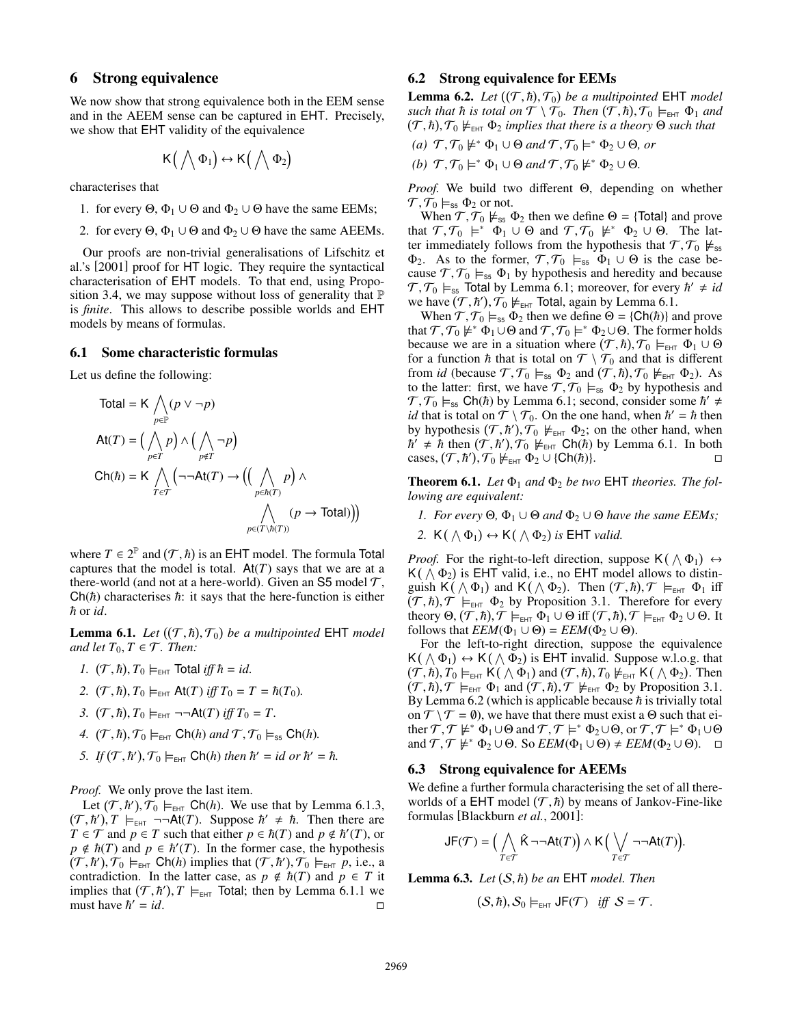## 6 Strong equivalence

We now show that strong equivalence both in the EEM sense and in the AEEM sense can be captured in EHT. Precisely, we show that EHT validity of the equivalence

$$
\mathsf{K}\big(\bigwedge\Phi_1\big)\leftrightarrow\mathsf{K}\big(\bigwedge\Phi_2\big)
$$

characterises that

- 1. for every  $\Theta$ ,  $\Phi_1 \cup \Theta$  and  $\Phi_2 \cup \Theta$  have the same EEMs;
- 2. for every  $\Theta$ ,  $\Phi_1 \cup \Theta$  and  $\Phi_2 \cup \Theta$  have the same AEEMs.

Our proofs are non-trivial generalisations of Lifschitz et al.'s [2001] proof for HT logic. They require the syntactical characterisation of EHT models. To that end, using Proposition 3.4, we may suppose without loss of generality that P is *finite*. This allows to describe possible worlds and EHT models by means of formulas.

#### 6.1 Some characteristic formulas

Let us define the following:

Total = K 
$$
\bigwedge_{p \in \mathbb{P}} (p \lor \neg p)
$$
  
\nAt(T) =  $(\bigwedge_{p \in T} p) \land (\bigwedge_{p \notin T} \neg p)$   
\nCh(\hbar) = K  $\bigwedge_{T \in \mathcal{T}} (\neg\neg At(T) \rightarrow ((\bigwedge_{p \in \hbar(T)} p) \land \bigwedge_{p \in (\Gamma \setminus \hbar(T))} (p \rightarrow \text{Total}))$ )

where  $T \in 2^{\mathbb{P}}$  and  $(T, \hbar)$  is an EHT model. The formula Total captures that the model is total  $\mathbf{A}t(T)$  says that we are at a captures that the model is total.  $At(T)$  says that we are at a there-world (and not at a here-world). Given an S5 model  $\mathcal{T}$ ,  $Ch(*h*)$  characterises *: it says that the here-function is either*  $\hbar$  or *id*.

**Lemma 6.1.** *Let*  $((T, \hbar), T_0)$  *be a multipointed* EHT *model* and let  $T_0$ ,  $T \in T$  Then: *and let*  $T_0, T \in \mathcal{T}$ *. Then:* 

- *1.*  $(\mathcal{T}, \hbar), T_0 \models_{\text{EHT}} \text{Total iff } \hbar = id.$
- 2.  $(T, \hbar)$ ,  $T_0 \models_{\text{EHT}} \text{At}(T) \text{ iff } T_0 = T = \hbar(T_0)$ .
- 3.  $(T, \hbar)$ ,  $T_0 \models_{\text{EHT}} \neg \neg \text{At}(T) \text{ iff } T_0 = T.$
- 4.  $(\mathcal{T}, \hbar), \mathcal{T}_0 \models_{\text{EHT}} \text{Ch}(\hbar) \text{ and } \mathcal{T}, \mathcal{T}_0 \models_{\text{ss}} \text{Ch}(\hbar).$
- 5. If  $(T, \hbar'), T_0 \models_{\text{EHT}} \text{Ch}(\hbar)$  then  $\hbar' = id$  or  $\hbar' = \hbar$ .

*Proof.* We only prove the last item.

Let  $(T, h'), T_0 \models_{\text{EHT}} \text{Ch}(h)$ . We use that by Lemma 6.1.3,<br>  $\overline{h}$   $T \models_{\text{CFT}} \neg \neg \text{At}(T)$ . Suppose  $\overline{h}' \neq \overline{h}$ . Then there are  $(T, h')$ ,  $T \models_{\text{EHT}} \neg\neg\neg \text{At}(T)$ . Suppose  $h' \neq h$ . Then there are  $T \in \mathcal{T}$  and  $n \in T$  such that either  $n \in h(T)$  and  $n \notin h'(T)$  or  $T \in \mathcal{T}$  and  $p \in T$  such that either  $p \in \hbar(T)$  and  $p \notin \hbar'(T)$ , or  $p \notin \hbar(T)$  and  $p \in \hbar'(T)$ . In the former case, the hypothesis  $(T, h'), T_0 \models_{\text{EHT}} \text{Ch}(h)$  implies that  $(T, h'), T_0 \models_{\text{EHT}} p$ , i.e., a<br>contradiction. In the latter case, as  $p \notin h(T)$  and  $p \in T$  it contradiction. In the latter case, as  $p \notin \hbar(T)$  and  $p \in T$  it implies that  $(T, \hbar')$ ,  $T \models_{\text{EHT}}$  Total; then by Lemma 6.1.1 we must have  $\hbar' = id$ must have  $\hbar' = id$ .  $\alpha' = id.$ 

#### 6.2 Strong equivalence for EEMs

**Lemma 6.2.** *Let*  $((T, \hbar), T_0)$  *be a multipointed* **EHT** *model such that*  $\hbar$  *is total on*  $T \setminus T_0$ . *Then*  $(T, \hbar)$   $T_0 \models_{\text{cav}} \Phi_1$  *and*  $such ~that~ \hbar ~is~ total ~on ~\widetilde{T} \setminus \widetilde{T}_0$ . Then  $(\widetilde{T}, \hbar), \mathcal{T}_0 \models_{\text{EHT}} \Phi_1$  and  $(\widetilde{T}, \hbar)$   $\mathcal{T}_0 \not\models_{\text{EFT}} \Phi_2$  implies that there is a theory  $\Theta$  such that  $(T, h), T_0 \nvDash_{\text{EHT}} \Phi_2$  *implies that there is a theory*  $\Theta$  *such that* 

- $(a)$  *T*, *T*<sub>0</sub>  $\neq$  <sup>\*</sup>  $\Phi$ <sub>1</sub> ∪  $\Theta$  *and T*, *T*<sub>0</sub>  $\models$  <sup>\*</sup>  $\Phi$ <sub>2</sub> ∪  $\Theta$ *, or*
- *(b)*  $\mathcal{T}, \mathcal{T}_0 \models^* \Phi_1 \cup \Theta \text{ and } \mathcal{T}, \mathcal{T}_0 \not\models^* \Phi_2 \cup \Theta.$

*Proof.* We build two different Θ, depending on whether  $\mathcal{T}, \mathcal{T}_0 \models_{ss} \Phi_2$  or not.

When  $\mathcal{T}, \mathcal{T}_0 \not\models_{\text{ss}} \Phi_2$  then we define  $\Theta = \{\text{Total}\}\$  and prove that  $\mathcal{T}, \mathcal{T}_0 \models^* \Phi_1 \cup \Theta$  and  $\mathcal{T}, \mathcal{T}_0 \not\models^* \Phi_2 \cup \Theta$ . The latter immediately follows from the hypothesis that  $\mathcal{T}, \mathcal{T}_0 \not\models_{\infty}$ ter immediately follows from the hypothesis that  $\mathcal{T}, \mathcal{T}_0 \not\models_{ss}$  $\Phi_2$ . As to the former,  $\mathcal{T}, \mathcal{T}_0 \models_{ss} \Phi_1 \cup \Theta$  is the case because  $\mathcal{T}, \mathcal{T}_0 \models_{ss} \Phi_1$  by hypothesis and heredity and because  $\mathcal{T}, \mathcal{T}_0 \models_{\text{ss}} \text{Total by Lemma 6.1; moreover, for every } \hbar' \neq id$ <br>we have  $(\mathcal{T}, \hbar')$   $\mathcal{T}_0 \not\models_{\text{new}} \text{Total again by Lemma 6.1}$ we have  $(T, h'), T_0 \nvDash_{\text{EHT}}$  Total, again by Lemma 6.1.<br>When  $T, T_0 \nvDash_{\text{EFT}} \mathbf{D}$  then we define  $\Theta = \{ \mathbf{Ch}(h) \}$ 

When  $\mathcal{T}, \mathcal{T}_0 \models_{ss} \Phi_2$  then we define  $\Theta = \{\text{Ch}(\hbar)\}\$ and prove that  $T$ ,  $T_0 \not\models^* \Phi_1 \cup \Theta$  and  $T$ ,  $T_0 \not\models^* \Phi_2 \cup \Theta$ . The former holds<br>because we are in a situation where  $(T h)$   $T_0 \not\models_{\text{max}} \Phi_1 \cup \Theta$ because we are in a situation where  $(T, \hbar), T_0 \models_{EH} \Phi_1 \cup \Theta$ <br>for a function  $\hbar$  that is total on  $T \setminus T_0$  and that is different for a function  $\hbar$  that is total on  $\mathcal{T} \setminus \mathcal{T}_0$  and that is different from *id* (because  $\mathcal{T}, \mathcal{T}_0 \models_{\text{ss}} \Phi_2$  and  $(\mathcal{T}, \hbar), \mathcal{T}_0 \not\models_{\text{EHT}} \Phi_2$ ). As<br>to the latter: first we have  $\mathcal{T}, \mathcal{T}_0 \models_{\text{cs}} \Phi_2$  by hypothesis and to the latter: first, we have  $\mathcal{T}, \mathcal{T}_0 \models_{ss} \Phi_2$  by hypothesis and  $\mathcal{T}, \mathcal{T}_0 \models_{ss} \text{Ch}(\hbar)$  by Lemma 6.1; second, consider some  $\hbar' \neq id$  that is total on  $\mathcal{T} \setminus \mathcal{T}_0$ . On the one hand, when  $\hbar' = \hbar$  then *id* that is total on  $T \setminus T_0$ . On the one hand, when  $\hbar' = \hbar$  then by hypothesis  $(T, \hbar'), \tilde{T}_0 \nvDash_{EHT} \Phi_2$ ; on the other hand, when<br> $\hbar' \neq \hbar$  then  $(T, \hbar'), \tilde{T}_0 \nvDash_{EHT} Ch(\hbar)$  by Lemma 6.1. In both cases,  $(\mathcal{T}, \hbar')$ ,  $\mathcal{T}_0 \not\models_{\text{EHT}} \Phi_2 \cup \{\text{Ch}(\hbar)\}.$ 

**Theorem 6.1.** Let  $\Phi_1$  and  $\Phi_2$  be two EHT theories. The fol*lowing are equivalent:*

- *1. For every*  $\Theta$ ,  $\Phi_1 \cup \Theta$  *and*  $\Phi_2 \cup \Theta$  *have the same EEMs*;
- 2.  $K(\wedge \Phi_1) \leftrightarrow K(\wedge \Phi_2)$  is EHT *valid.*

*Proof.* For the right-to-left direction, suppose  $K(\wedge \Phi_1) \leftrightarrow$  $K(\wedge \Phi_2)$  is EHT valid, i.e., no EHT model allows to distinguish  $K(\wedge \Phi_1)$  and  $K(\wedge \Phi_2)$ . Then  $(\mathcal{T}, \hbar), \mathcal{T} \models_{\text{EHT}} \Phi_1$  iff<br> $(\mathcal{T}, \hbar)$   $\mathcal{T} \models_{\text{Ext}} \Phi_2$  by Proposition 3.1. Therefore for every  $(T, \hbar), T \vDash_{\text{EHT}} \Phi_2$  by Proposition 3.1. Therefore for every<br>theory  $\Theta$  (T  $\hbar$ )  $T \vDash_{\text{ECT}} \Phi_1 \cup \Theta$  iff (T  $\hbar$ )  $T \vDash_{\text{ECT}} \Phi_2 \cup \Theta$  If theory  $\Theta$ ,  $(\overline{\mathcal{T}}, h), \overline{\mathcal{T}} \models_{\text{EHT}} \Phi_1 \cup \Theta$  iff  $(\mathcal{T}, h), \mathcal{T} \models_{\text{EHT}} \Phi_2 \cup \Theta$ . It follows that  $FEM(\Phi_1 \cup \Theta) = FEM(\Phi_2 \cup \Theta)$ follows that  $EEM(\Phi_1 \cup \Theta) = EEM(\Phi_2 \cup \Theta)$ .

For the left-to-right direction, suppose the equivalence  $K(\wedge \Phi_1) \leftrightarrow K(\wedge \Phi_2)$  is EHT invalid. Suppose w.l.o.g. that  $(\mathcal{T}, h), T_0 \models_{\text{EHT}} K(\bigwedge \Phi_1) \text{ and } (\mathcal{T}, h), T_0 \not\models_{\text{EHT}} K(\bigwedge \Phi_2). \text{ Then}$ <br> $(\mathcal{T}, h) \mathcal{T} \models_{\text{max}} \Phi_1 \text{ and } (\mathcal{T}, h) \mathcal{T} \not\models_{\text{max}} \Phi_2 \text{ by Proposition 3.1.}$  $(T, h), T \vDash_{\text{EHT}} \Phi_1$  and  $(T, h), T \nvDash_{\text{EHT}} \Phi_2$  by Proposition 3.1.<br>By Lemma 6.2 (which is annicable because h is trivially total By Lemma 6.2 (which is applicable because  $\hbar$  is trivially total on  $\mathcal{T} \setminus \mathcal{T} = \emptyset$ , we have that there must exist a  $\Theta$  such that either  $\mathcal{T}, \mathcal{T} \not\models^* \Phi_1 \cup \Theta$  and  $\mathcal{T}, \mathcal{T} \models^* \Phi_2 \cup \Theta$ , or  $\mathcal{T}, \mathcal{T} \models^* \Phi_1 \cup \Theta$ <br>and  $\mathcal{T}, \mathcal{T} \not\models^* \Phi_2 \cup \Theta$ . So  $FEM(\Phi_1 \cup \Theta) \neq FEM(\Phi_2 \cup \Theta)$ . and  $\mathcal{T}, \mathcal{T} \not\models^* \Phi_2 \cup \Theta$ . So  $EEM(\Phi_1 \cup \Theta) \neq EEM(\Phi_2 \cup \Theta)$ .  $\Box$ 

#### 6.3 Strong equivalence for AEEMs

We define a further formula characterising the set of all thereworlds of a EHT model  $(\mathcal{T}, \hbar)$  by means of Jankov-Fine-like formulas [Blackburn *et al* 2001] formulas [Blackburn *et al.*, 2001]:

$$
\mathsf{JF}(\mathcal{T}) = \Big(\bigwedge_{T \in \mathcal{T}} \hat{\mathsf{K}} \neg\neg\mathsf{At}(T)\Big) \wedge \mathsf{K}\Big(\bigvee_{T \in \mathcal{T}} \neg\neg\mathsf{At}(T)\Big).
$$

**Lemma 6.3.** *Let*  $(S, \hbar)$  *be an*  $EHT$  *model. Then* 

$$
(\mathcal{S},\hbar),\mathcal{S}_0\models_{\text{EHT}}\mathsf{JF}(\mathcal{T})\quad\text{iff}\quad\mathcal{S}=\mathcal{T}.
$$